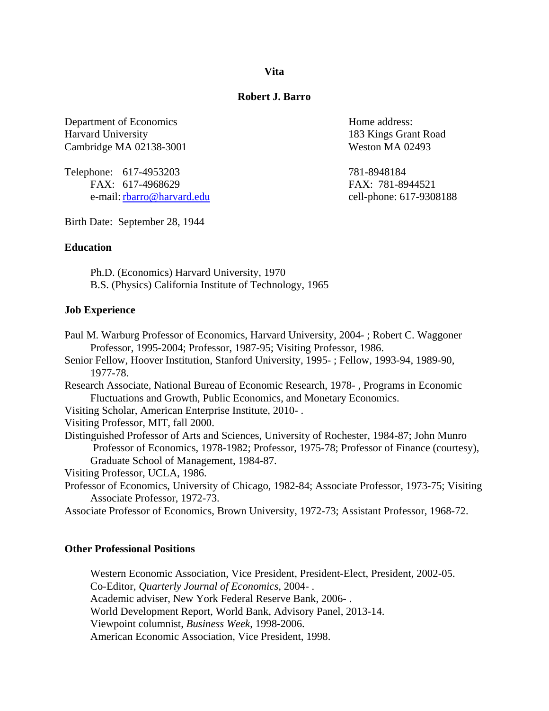**Vita**

# **Robert J. Barro**

Department of Economics Home address: Harvard University 183 Kings Grant Road Cambridge MA 02138-3001 Weston MA 02493

Telephone: 617-4953203 781-8948184 FAX: 617-4968629 FAX: 781-8944521 e-mail: <u>rbarro@harvard.edu</u> cell-phone: 617-9308188

Birth Date: September 28, 1944

# **Education**

Ph.D. (Economics) Harvard University, 1970 B.S. (Physics) California Institute of Technology, 1965

# **Job Experience**

- Paul M. Warburg Professor of Economics, Harvard University, 2004- ; Robert C. Waggoner Professor, 1995-2004; Professor, 1987-95; Visiting Professor, 1986.
- Senior Fellow, Hoover Institution, Stanford University, 1995- ; Fellow, 1993-94, 1989-90, 1977-78.
- Research Associate, National Bureau of Economic Research, 1978- , Programs in Economic Fluctuations and Growth, Public Economics, and Monetary Economics.

Visiting Scholar, American Enterprise Institute, 2010- .

Visiting Professor, MIT, fall 2000.

Distinguished Professor of Arts and Sciences, University of Rochester, 1984-87; John Munro Professor of Economics, 1978-1982; Professor, 1975-78; Professor of Finance (courtesy), Graduate School of Management, 1984-87.

Visiting Professor, UCLA, 1986.

- Professor of Economics, University of Chicago, 1982-84; Associate Professor, 1973-75; Visiting Associate Professor, 1972-73.
- Associate Professor of Economics, Brown University, 1972-73; Assistant Professor, 1968-72.

# **Other Professional Positions**

Western Economic Association, Vice President, President-Elect, President, 2002-05. Co-Editor, *Quarterly Journal of Economics*, 2004- . Academic adviser, New York Federal Reserve Bank, 2006- . World Development Report, World Bank, Advisory Panel, 2013-14. Viewpoint columnist, *Business Week*, 1998-2006. American Economic Association, Vice President, 1998.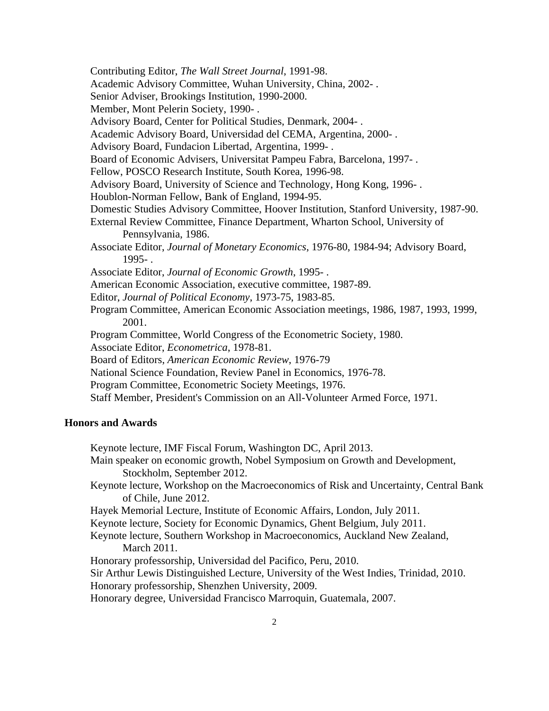Contributing Editor, *The Wall Street Journal*, 1991-98. Academic Advisory Committee, Wuhan University, China, 2002- . Senior Adviser, Brookings Institution, 1990-2000. Member, Mont Pelerin Society, 1990- . Advisory Board, Center for Political Studies, Denmark, 2004- . Academic Advisory Board, Universidad del CEMA, Argentina, 2000- . Advisory Board, Fundacion Libertad, Argentina, 1999- . Board of Economic Advisers, Universitat Pampeu Fabra, Barcelona, 1997- . Fellow, POSCO Research Institute, South Korea, 1996-98. Advisory Board, University of Science and Technology, Hong Kong, 1996- . Houblon-Norman Fellow, Bank of England, 1994-95. Domestic Studies Advisory Committee, Hoover Institution, Stanford University, 1987-90. External Review Committee, Finance Department, Wharton School, University of Pennsylvania, 1986. Associate Editor, *Journal of Monetary Economics*, 1976-80, 1984-94; Advisory Board, 1995- . Associate Editor, *Journal of Economic Growth*, 1995- . American Economic Association, executive committee, 1987-89. Editor, *Journal of Political Economy*, 1973-75, 1983-85. Program Committee, American Economic Association meetings, 1986, 1987, 1993, 1999, 2001. Program Committee, World Congress of the Econometric Society, 1980. Associate Editor, *Econometrica*, 1978-81. Board of Editors, *American Economic Review*, 1976-79 National Science Foundation, Review Panel in Economics, 1976-78. Program Committee, Econometric Society Meetings, 1976. Staff Member, President's Commission on an All-Volunteer Armed Force, 1971.

# **Honors and Awards**

 Keynote lecture, IMF Fiscal Forum, Washington DC, April 2013. Main speaker on economic growth, Nobel Symposium on Growth and Development, Stockholm, September 2012. Keynote lecture, Workshop on the Macroeconomics of Risk and Uncertainty, Central Bank of Chile, June 2012. Hayek Memorial Lecture, Institute of Economic Affairs, London, July 2011. Keynote lecture, Society for Economic Dynamics, Ghent Belgium, July 2011. Keynote lecture, Southern Workshop in Macroeconomics, Auckland New Zealand, March 2011. Honorary professorship, Universidad del Pacifico, Peru, 2010. Sir Arthur Lewis Distinguished Lecture, University of the West Indies, Trinidad, 2010. Honorary professorship, Shenzhen University, 2009. Honorary degree, Universidad Francisco Marroquin, Guatemala, 2007.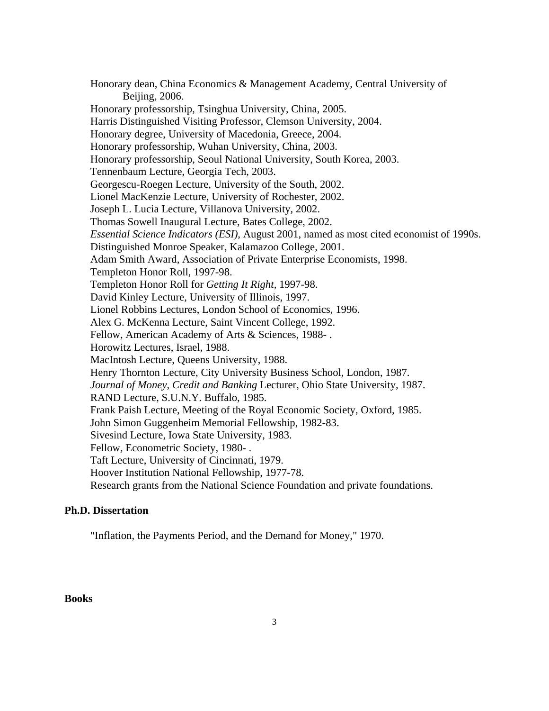Honorary dean, China Economics & Management Academy, Central University of Beijing, 2006. Honorary professorship, Tsinghua University, China, 2005. Harris Distinguished Visiting Professor, Clemson University, 2004. Honorary degree, University of Macedonia, Greece, 2004. Honorary professorship, Wuhan University, China, 2003. Honorary professorship, Seoul National University, South Korea, 2003. Tennenbaum Lecture, Georgia Tech, 2003. Georgescu-Roegen Lecture, University of the South, 2002. Lionel MacKenzie Lecture, University of Rochester, 2002. Joseph L. Lucia Lecture, Villanova University, 2002. Thomas Sowell Inaugural Lecture, Bates College, 2002. *Essential Science Indicators (ESI)*, August 2001, named as most cited economist of 1990s. Distinguished Monroe Speaker, Kalamazoo College, 2001. Adam Smith Award, Association of Private Enterprise Economists, 1998. Templeton Honor Roll, 1997-98. Templeton Honor Roll for *Getting It Right*, 1997-98. David Kinley Lecture, University of Illinois, 1997. Lionel Robbins Lectures, London School of Economics, 1996. Alex G. McKenna Lecture, Saint Vincent College, 1992. Fellow, American Academy of Arts & Sciences, 1988- . Horowitz Lectures, Israel, 1988. MacIntosh Lecture, Queens University, 1988. Henry Thornton Lecture, City University Business School, London, 1987. *Journal of Money*, *Credit and Banking* Lecturer, Ohio State University, 1987. RAND Lecture, S.U.N.Y. Buffalo, 1985. Frank Paish Lecture, Meeting of the Royal Economic Society, Oxford, 1985. John Simon Guggenheim Memorial Fellowship, 1982-83. Sivesind Lecture, Iowa State University, 1983. Fellow, Econometric Society, 1980- . Taft Lecture, University of Cincinnati, 1979. Hoover Institution National Fellowship, 1977-78. Research grants from the National Science Foundation and private foundations.

# **Ph.D. Dissertation**

"Inflation, the Payments Period, and the Demand for Money," 1970.

### **Books**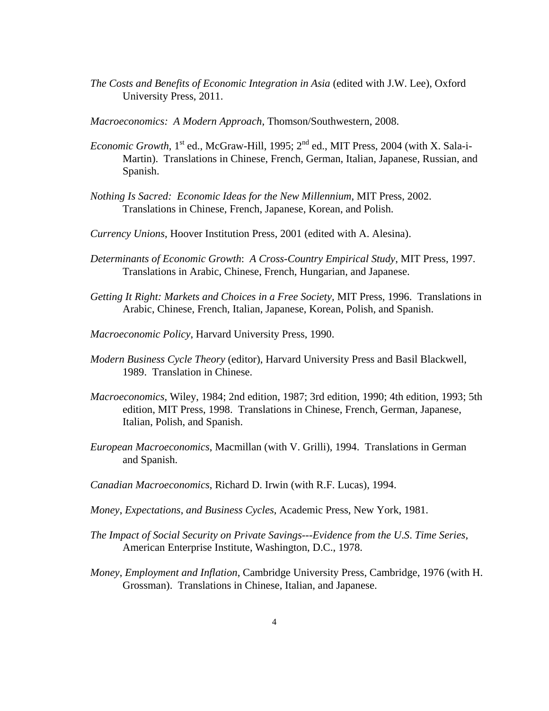- *The Costs and Benefits of Economic Integration in Asia* (edited with J.W. Lee), Oxford University Press, 2011.
- *Macroeconomics: A Modern Approach*, Thomson/Southwestern, 2008.
- *Economic Growth*,  $1^{st}$  ed., McGraw-Hill, 1995;  $2^{nd}$  ed., MIT Press, 2004 (with X. Sala-i-Martin). Translations in Chinese, French, German, Italian, Japanese, Russian, and Spanish.
- *Nothing Is Sacred: Economic Ideas for the New Millennium*, MIT Press, 2002. Translations in Chinese, French, Japanese, Korean, and Polish.
- *Currency Unions*, Hoover Institution Press, 2001 (edited with A. Alesina).
- *Determinants of Economic Growth*: *A Cross*-*Country Empirical Study*, MIT Press, 1997. Translations in Arabic, Chinese, French, Hungarian, and Japanese.
- *Getting It Right: Markets and Choices in a Free Society,* MIT Press, 1996. Translations in Arabic, Chinese, French, Italian, Japanese, Korean, Polish, and Spanish.
- *Macroeconomic Policy*, Harvard University Press, 1990.
- *Modern Business Cycle Theory* (editor), Harvard University Press and Basil Blackwell, 1989. Translation in Chinese.
- *Macroeconomics*, Wiley, 1984; 2nd edition, 1987; 3rd edition, 1990; 4th edition, 1993; 5th edition, MIT Press, 1998. Translations in Chinese, French, German, Japanese, Italian, Polish, and Spanish.
- *European Macroeconomics*, Macmillan (with V. Grilli), 1994. Translations in German and Spanish.
- *Canadian Macroeconomics*, Richard D. Irwin (with R.F. Lucas), 1994.
- *Money*, *Expectations*, *and Business Cycles*, Academic Press, New York, 1981.
- *The Impact of Social Security on Private Savings*---*Evidence from the U*.*S*. *Time Series*, American Enterprise Institute, Washington, D.C., 1978.
- *Money*, *Employment and Inflation*, Cambridge University Press, Cambridge, 1976 (with H. Grossman). Translations in Chinese, Italian, and Japanese.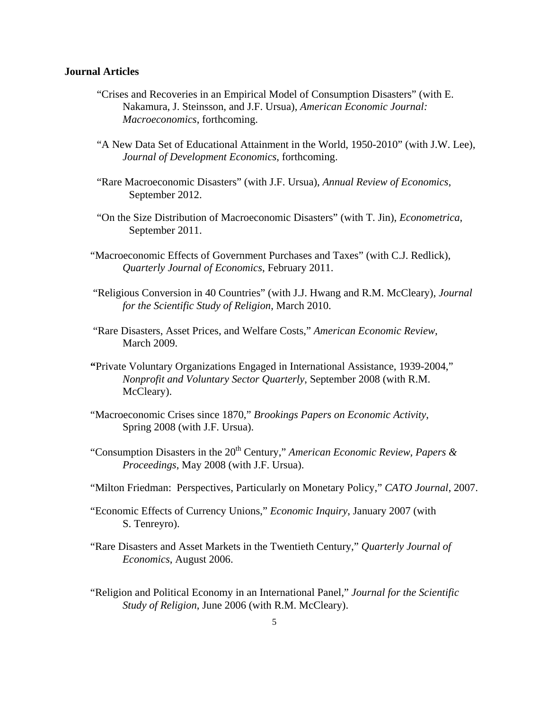#### **Journal Articles**

- "Crises and Recoveries in an Empirical Model of Consumption Disasters" (with E. Nakamura, J. Steinsson, and J.F. Ursua), *American Economic Journal: Macroeconomics*, forthcoming.
- "A New Data Set of Educational Attainment in the World, 1950-2010" (with J.W. Lee), *Journal of Development Economics*, forthcoming.
- "Rare Macroeconomic Disasters" (with J.F. Ursua), *Annual Review of Economics*, September 2012.
- "On the Size Distribution of Macroeconomic Disasters" (with T. Jin), *Econometrica*, September 2011.
- "Macroeconomic Effects of Government Purchases and Taxes" (with C.J. Redlick), *Quarterly Journal of Economics*, February 2011.
- "Religious Conversion in 40 Countries" (with J.J. Hwang and R.M. McCleary), *Journal for the Scientific Study of Religion*, March 2010.
- "Rare Disasters, Asset Prices, and Welfare Costs," *American Economic Review*, March 2009.
- **"**Private Voluntary Organizations Engaged in International Assistance, 1939-2004," *Nonprofit and Voluntary Sector Quarterly*, September 2008 (with R.M. McCleary).
- "Macroeconomic Crises since 1870," *Brookings Papers on Economic Activity*, Spring 2008 (with J.F. Ursua).
- "Consumption Disasters in the  $20<sup>th</sup>$  Century," *American Economic Review, Papers & Proceedings*, May 2008 (with J.F. Ursua).
- "Milton Friedman: Perspectives, Particularly on Monetary Policy," *CATO Journal*, 2007.
- "Economic Effects of Currency Unions," *Economic Inquiry*, January 2007 (with S. Tenreyro).
- "Rare Disasters and Asset Markets in the Twentieth Century," *Quarterly Journal of Economics*, August 2006.
- "Religion and Political Economy in an International Panel," *Journal for the Scientific Study of Religion*, June 2006 (with R.M. McCleary).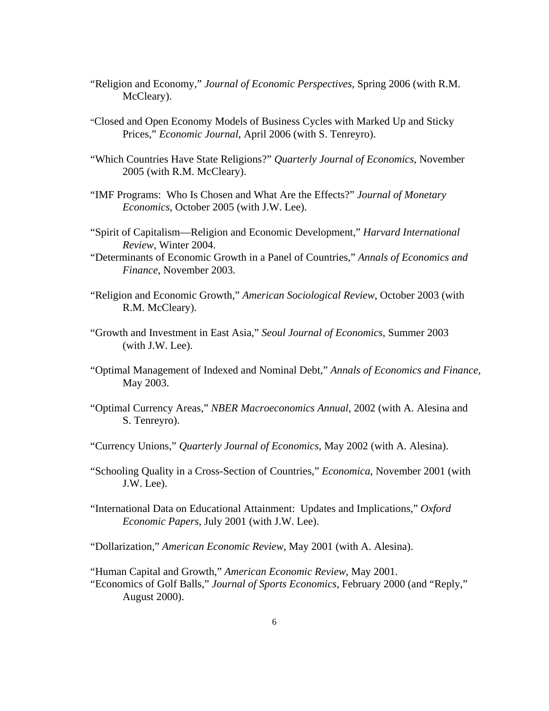- "Religion and Economy," *Journal of Economic Perspectives*, Spring 2006 (with R.M. McCleary).
- "Closed and Open Economy Models of Business Cycles with Marked Up and Sticky Prices," *Economic Journal*, April 2006 (with S. Tenreyro).
- "Which Countries Have State Religions?" *Quarterly Journal of Economics*, November 2005 (with R.M. McCleary).
- "IMF Programs: Who Is Chosen and What Are the Effects?" *Journal of Monetary Economics*, October 2005 (with J.W. Lee).
- "Spirit of Capitalism—Religion and Economic Development," *Harvard International Review*, Winter 2004.
- "Determinants of Economic Growth in a Panel of Countries," *Annals of Economics and Finance*, November 2003.
- "Religion and Economic Growth," *American Sociological Review*, October 2003 (with R.M. McCleary).
- "Growth and Investment in East Asia," *Seoul Journal of Economics*, Summer 2003 (with J.W. Lee).
- "Optimal Management of Indexed and Nominal Debt," *Annals of Economics and Finance*, May 2003.
- "Optimal Currency Areas," *NBER Macroeconomics Annual*, 2002 (with A. Alesina and S. Tenreyro).
- "Currency Unions," *Quarterly Journal of Economics*, May 2002 (with A. Alesina).
- "Schooling Quality in a Cross-Section of Countries," *Economica*, November 2001 (with J.W. Lee).
- "International Data on Educational Attainment: Updates and Implications," *Oxford Economic Papers*, July 2001 (with J.W. Lee).

"Dollarization," *American Economic Review*, May 2001 (with A. Alesina).

 "Human Capital and Growth," *American Economic Review*, May 2001. "Economics of Golf Balls," *Journal of Sports Economics*, February 2000 (and "Reply," August 2000).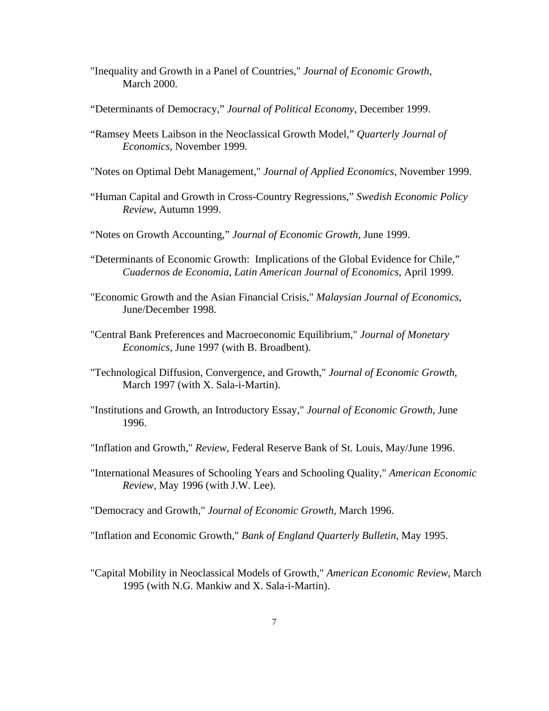- "Inequality and Growth in a Panel of Countries," *Journal of Economic Growth*, March 2000.
- "Determinants of Democracy," *Journal of Political Economy*, December 1999.
- "Ramsey Meets Laibson in the Neoclassical Growth Model," *Quarterly Journal of Economics*, November 1999*.*
- "Notes on Optimal Debt Management," *Journal of Applied Economics*, November 1999.
- "Human Capital and Growth in Cross-Country Regressions," *Swedish Economic Policy Review*, Autumn 1999.
- "Notes on Growth Accounting," *Journal of Economic Growth*, June 1999.
- "Determinants of Economic Growth: Implications of the Global Evidence for Chile," *Cuadernos de Economia*, *Latin American Journal of Economics*, April 1999.
- "Economic Growth and the Asian Financial Crisis," *Malaysian Journal of Economics*, June/December 1998.
- "Central Bank Preferences and Macroeconomic Equilibrium," *Journal of Monetary Economics,* June 1997 (with B. Broadbent).
- "Technological Diffusion, Convergence, and Growth," *Journal of Economic Growth*, March 1997 (with X. Sala-i-Martin).
- "Institutions and Growth, an Introductory Essay," *Journal of Economic Growth*, June 1996.
- "Inflation and Growth," *Review*, Federal Reserve Bank of St. Louis, May/June 1996.
- "International Measures of Schooling Years and Schooling Quality," *American Economic Review*, May 1996 (with J.W. Lee).

"Democracy and Growth," *Journal of Economic Growth*, March 1996.

"Inflation and Economic Growth," *Bank of England Quarterly Bulletin*, May 1995.

"Capital Mobility in Neoclassical Models of Growth," *American Economic Review*, March 1995 (with N.G. Mankiw and X. Sala-i-Martin).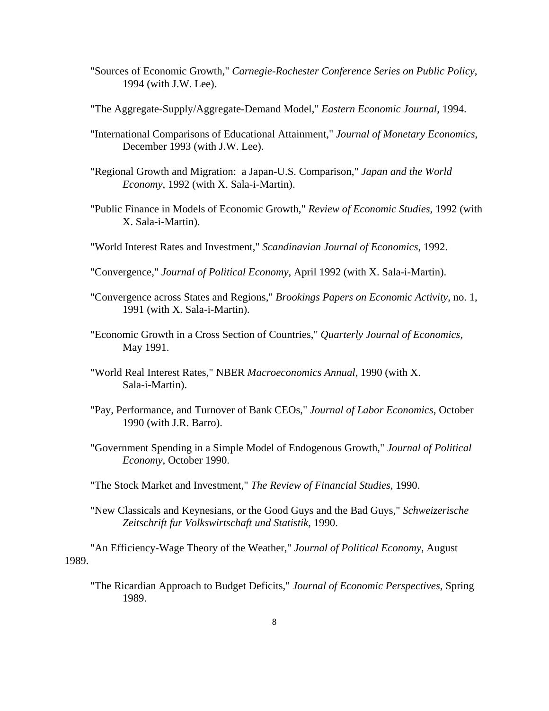- "Sources of Economic Growth," *Carnegie*-*Rochester Conference Series on Public Policy*, 1994 (with J.W. Lee).
- "The Aggregate-Supply/Aggregate-Demand Model," *Eastern Economic Journal*, 1994.
- "International Comparisons of Educational Attainment," *Journal of Monetary Economics*, December 1993 (with J.W. Lee).
- "Regional Growth and Migration: a Japan-U.S. Comparison," *Japan and the World Economy*, 1992 (with X. Sala-i-Martin).
- "Public Finance in Models of Economic Growth," *Review of Economic Studies*, 1992 (with X. Sala-i-Martin).
- "World Interest Rates and Investment," *Scandinavian Journal of Economics*, 1992.
- "Convergence," *Journal of Political Economy*, April 1992 (with X. Sala-i-Martin).
- "Convergence across States and Regions," *Brookings Papers on Economic Activity*, no. 1, 1991 (with X. Sala-i-Martin).
- "Economic Growth in a Cross Section of Countries," *Quarterly Journal of Economics*, May 1991.
- "World Real Interest Rates," NBER *Macroeconomics Annual*, 1990 (with X. Sala-i-Martin).
- "Pay, Performance, and Turnover of Bank CEOs," *Journal of Labor Economics*, October 1990 (with J.R. Barro).
- "Government Spending in a Simple Model of Endogenous Growth," *Journal of Political Economy*, October 1990.
- "The Stock Market and Investment," *The Review of Financial Studies*, 1990.
- "New Classicals and Keynesians, or the Good Guys and the Bad Guys," *Schweizerische Zeitschrift fur Volkswirtschaft und Statistik*, 1990.

"An Efficiency-Wage Theory of the Weather," *Journal of Political Economy*, August 1989.

"The Ricardian Approach to Budget Deficits," *Journal of Economic Perspectives*, Spring 1989.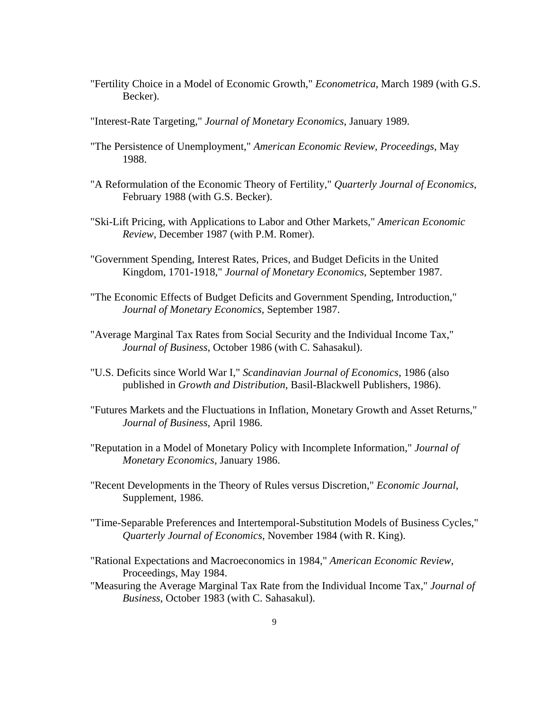- "Fertility Choice in a Model of Economic Growth," *Econometrica*, March 1989 (with G.S. Becker).
- "Interest-Rate Targeting," *Journal of Monetary Economics*, January 1989.
- "The Persistence of Unemployment," *American Economic Review*, *Proceedings*, May 1988.
- "A Reformulation of the Economic Theory of Fertility," *Quarterly Journal of Economics*, February 1988 (with G.S. Becker).
- "Ski-Lift Pricing, with Applications to Labor and Other Markets," *American Economic Review*, December 1987 (with P.M. Romer).
- "Government Spending, Interest Rates, Prices, and Budget Deficits in the United Kingdom, 1701-1918," *Journal of Monetary Economics*, September 1987.
- "The Economic Effects of Budget Deficits and Government Spending, Introduction," *Journal of Monetary Economics*, September 1987.
- "Average Marginal Tax Rates from Social Security and the Individual Income Tax," *Journal of Business*, October 1986 (with C. Sahasakul).
- "U.S. Deficits since World War I," *Scandinavian Journal of Economics*, 1986 (also published in *Growth and Distribution*, Basil-Blackwell Publishers, 1986).
- "Futures Markets and the Fluctuations in Inflation, Monetary Growth and Asset Returns," *Journal of Business*, April 1986.
- "Reputation in a Model of Monetary Policy with Incomplete Information," *Journal of Monetary Economics*, January 1986.
- "Recent Developments in the Theory of Rules versus Discretion," *Economic Journal*, Supplement, 1986.
- "Time-Separable Preferences and Intertemporal-Substitution Models of Business Cycles," *Quarterly Journal of Economics*, November 1984 (with R. King).
- "Rational Expectations and Macroeconomics in 1984," *American Economic Review*, Proceedings, May 1984.
- "Measuring the Average Marginal Tax Rate from the Individual Income Tax," *Journal of Business*, October 1983 (with C. Sahasakul).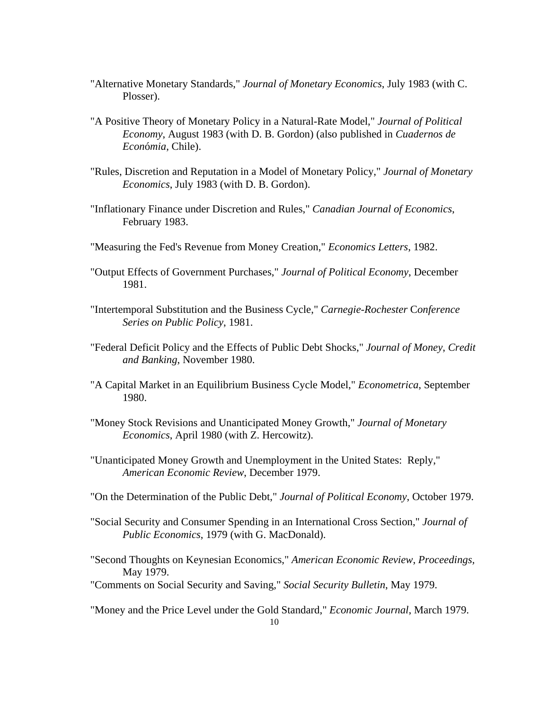- "Alternative Monetary Standards," *Journal of Monetary Economics*, July 1983 (with C. Plosser).
- "A Positive Theory of Monetary Policy in a Natural-Rate Model," *Journal of Political Economy*, August 1983 (with D. B. Gordon) (also published in *Cuadernos de Econ*ó*mia*, Chile).
- "Rules, Discretion and Reputation in a Model of Monetary Policy," *Journal of Monetary Economics*, July 1983 (with D. B. Gordon).
- "Inflationary Finance under Discretion and Rules," *Canadian Journal of Economics*, February 1983.
- "Measuring the Fed's Revenue from Money Creation," *Economics Letters*, 1982.
- "Output Effects of Government Purchases," *Journal of Political Economy*, December 1981.
- "Intertemporal Substitution and the Business Cycle," *Carnegie*-*Rochester* C*onference Series on Public Policy*, 1981.
- "Federal Deficit Policy and the Effects of Public Debt Shocks," *Journal of Money*, *Credit and Banking*, November 1980.
- "A Capital Market in an Equilibrium Business Cycle Model," *Econometrica*, September 1980.
- "Money Stock Revisions and Unanticipated Money Growth," *Journal of Monetary Economics*, April 1980 (with Z. Hercowitz).
- "Unanticipated Money Growth and Unemployment in the United States: Reply," *American Economic Review*, December 1979.
- "On the Determination of the Public Debt," *Journal of Political Economy*, October 1979.
- "Social Security and Consumer Spending in an International Cross Section," *Journal of Public Economics*, 1979 (with G. MacDonald).
- "Second Thoughts on Keynesian Economics," *American Economic Review*, *Proceedings,* May 1979.

"Comments on Social Security and Saving," *Social Security Bulletin*, May 1979.

"Money and the Price Level under the Gold Standard," *Economic Journal*, March 1979.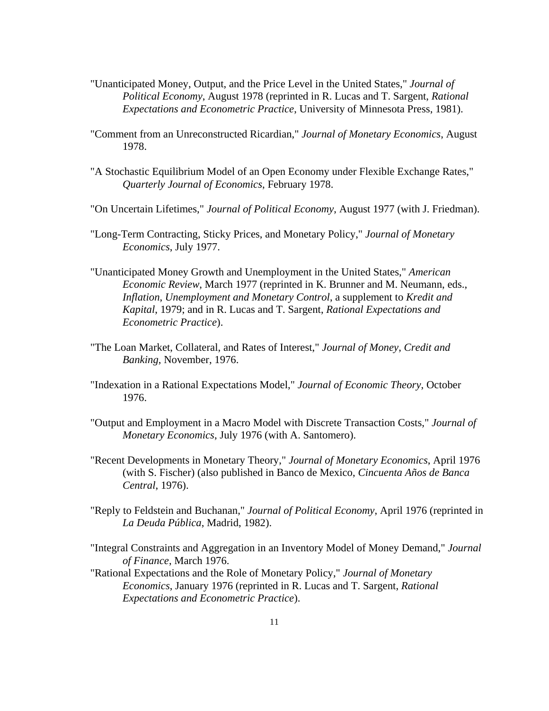- "Unanticipated Money, Output, and the Price Level in the United States," *Journal of Political Economy*, August 1978 (reprinted in R. Lucas and T. Sargent, *Rational Expectations and Econometric Practice*, University of Minnesota Press, 1981).
- "Comment from an Unreconstructed Ricardian," *Journal of Monetary Economics*, August 1978.
- "A Stochastic Equilibrium Model of an Open Economy under Flexible Exchange Rates," *Quarterly Journal of Economics*, February 1978.
- "On Uncertain Lifetimes," *Journal of Political Economy*, August 1977 (with J. Friedman).
- "Long-Term Contracting, Sticky Prices, and Monetary Policy," *Journal of Monetary Economics*, July 1977.
- "Unanticipated Money Growth and Unemployment in the United States," *American Economic Review*, March 1977 (reprinted in K. Brunner and M. Neumann, eds., *Inflation*, *Unemployment and Monetary Control*, a supplement to *Kredit and Kapital*, 1979; and in R. Lucas and T. Sargent, *Rational Expectations and Econometric Practice*).
- "The Loan Market, Collateral, and Rates of Interest," *Journal of Money*, *Credit and Banking*, November, 1976.
- "Indexation in a Rational Expectations Model," *Journal of Economic Theory*, October 1976.
- "Output and Employment in a Macro Model with Discrete Transaction Costs," *Journal of Monetary Economics*, July 1976 (with A. Santomero).
- "Recent Developments in Monetary Theory," *Journal of Monetary Economics*, April 1976 (with S. Fischer) (also published in Banco de Mexico, *Cincuenta Años de Banca Central*, 1976).
- "Reply to Feldstein and Buchanan," *Journal of Political Economy*, April 1976 (reprinted in *La Deuda Pública*, Madrid, 1982).
- "Integral Constraints and Aggregation in an Inventory Model of Money Demand," *Journal of Finance*, March 1976.
- "Rational Expectations and the Role of Monetary Policy," *Journal of Monetary Economics*, January 1976 (reprinted in R. Lucas and T. Sargent, *Rational Expectations and Econometric Practice*).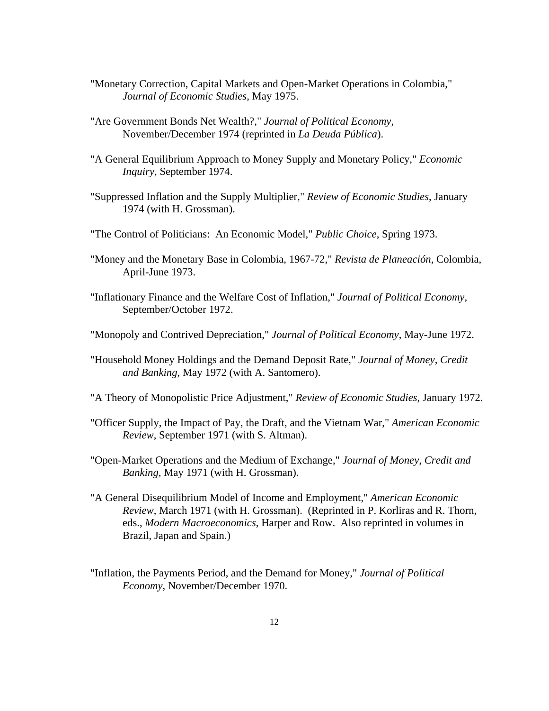- "Monetary Correction, Capital Markets and Open-Market Operations in Colombia," *Journal of Economic Studies*, May 1975.
- "Are Government Bonds Net Wealth?," *Journal of Political Economy*, November/December 1974 (reprinted in *La Deuda Pública*).
- "A General Equilibrium Approach to Money Supply and Monetary Policy," *Economic Inquiry*, September 1974.
- "Suppressed Inflation and the Supply Multiplier," *Review of Economic Studies*, January 1974 (with H. Grossman).
- "The Control of Politicians: An Economic Model," *Public Choice*, Spring 1973.
- "Money and the Monetary Base in Colombia, 1967-72," *Revista de Planeación*, Colombia, April-June 1973.
- "Inflationary Finance and the Welfare Cost of Inflation," *Journal of Political Economy*, September/October 1972.
- "Monopoly and Contrived Depreciation," *Journal of Political Economy*, May-June 1972.
- "Household Money Holdings and the Demand Deposit Rate," *Journal of Money*, *Credit and Banking*, May 1972 (with A. Santomero).
- "A Theory of Monopolistic Price Adjustment," *Review of Economic Studies*, January 1972.
- "Officer Supply, the Impact of Pay, the Draft, and the Vietnam War," *American Economic Review*, September 1971 (with S. Altman).
- "Open-Market Operations and the Medium of Exchange," *Journal of Money*, *Credit and Banking*, May 1971 (with H. Grossman).
- "A General Disequilibrium Model of Income and Employment," *American Economic Review*, March 1971 (with H. Grossman). (Reprinted in P. Korliras and R. Thorn, eds., *Modern Macroeconomics*, Harper and Row. Also reprinted in volumes in Brazil, Japan and Spain.)
- "Inflation, the Payments Period, and the Demand for Money," *Journal of Political Economy*, November/December 1970.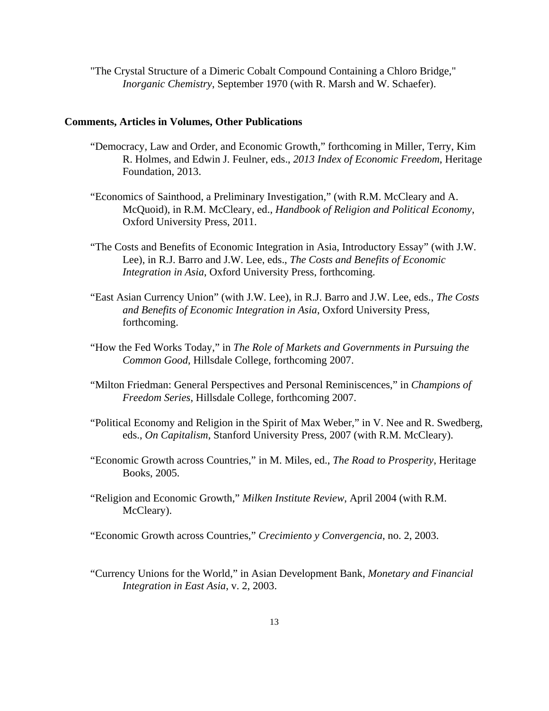"The Crystal Structure of a Dimeric Cobalt Compound Containing a Chloro Bridge," *Inorganic Chemistry*, September 1970 (with R. Marsh and W. Schaefer).

#### **Comments, Articles in Volumes, Other Publications**

- "Democracy, Law and Order, and Economic Growth," forthcoming in Miller, Terry, Kim R. Holmes, and Edwin J. Feulner, eds., *2013 Index of Economic Freedom*, Heritage Foundation, 2013.
- "Economics of Sainthood, a Preliminary Investigation," (with R.M. McCleary and A. McQuoid), in R.M. McCleary, ed., *Handbook of Religion and Political Economy*, Oxford University Press, 2011.
- "The Costs and Benefits of Economic Integration in Asia, Introductory Essay" (with J.W. Lee), in R.J. Barro and J.W. Lee, eds., *The Costs and Benefits of Economic Integration in Asia*, Oxford University Press, forthcoming.
- "East Asian Currency Union" (with J.W. Lee), in R.J. Barro and J.W. Lee, eds., *The Costs and Benefits of Economic Integration in Asia*, Oxford University Press, forthcoming.
- "How the Fed Works Today," in *The Role of Markets and Governments in Pursuing the Common Good*, Hillsdale College, forthcoming 2007.
- "Milton Friedman: General Perspectives and Personal Reminiscences," in *Champions of Freedom Series*, Hillsdale College, forthcoming 2007.
- "Political Economy and Religion in the Spirit of Max Weber," in V. Nee and R. Swedberg, eds., *On Capitalism*, Stanford University Press, 2007 (with R.M. McCleary).
- "Economic Growth across Countries," in M. Miles, ed., *The Road to Prosperity*, Heritage Books, 2005.
- "Religion and Economic Growth," *Milken Institute Review*, April 2004 (with R.M. McCleary).

"Economic Growth across Countries," *Crecimiento y Convergencia*, no. 2, 2003.

 "Currency Unions for the World," in Asian Development Bank, *Monetary and Financial Integration in East Asia*, v. 2, 2003.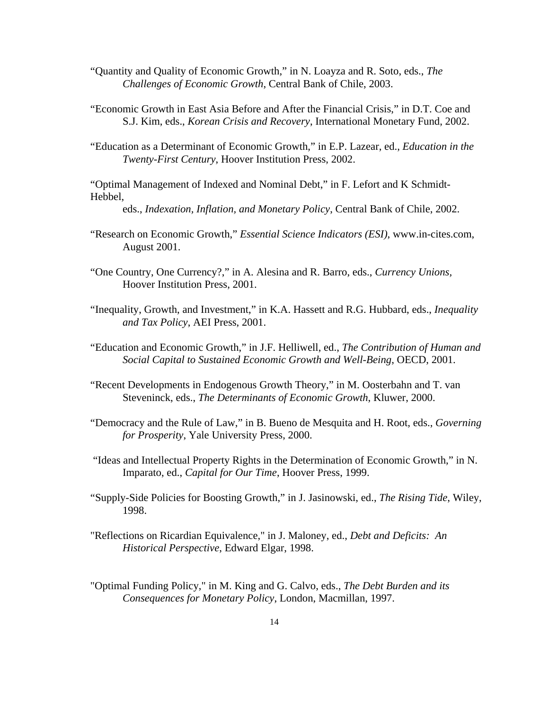- "Quantity and Quality of Economic Growth," in N. Loayza and R. Soto, eds., *The Challenges of Economic Growth*, Central Bank of Chile, 2003.
- "Economic Growth in East Asia Before and After the Financial Crisis," in D.T. Coe and S.J. Kim, eds., *Korean Crisis and Recovery*, International Monetary Fund, 2002.
- "Education as a Determinant of Economic Growth," in E.P. Lazear, ed., *Education in the Twenty-First Century*, Hoover Institution Press, 2002.

"Optimal Management of Indexed and Nominal Debt," in F. Lefort and K Schmidt-Hebbel,

eds., *Indexation, Inflation, and Monetary Policy*, Central Bank of Chile, 2002.

- "Research on Economic Growth," *Essential Science Indicators (ESI)*, www.in-cites.com, August 2001.
- "One Country, One Currency?," in A. Alesina and R. Barro, eds., *Currency Unions,*  Hoover Institution Press, 2001.
- "Inequality, Growth, and Investment," in K.A. Hassett and R.G. Hubbard, eds., *Inequality and Tax Policy*, AEI Press, 2001.
- "Education and Economic Growth," in J.F. Helliwell, ed., *The Contribution of Human and Social Capital to Sustained Economic Growth and Well-Being*, OECD, 2001.
- "Recent Developments in Endogenous Growth Theory," in M. Oosterbahn and T. van Steveninck, eds., *The Determinants of Economic Growth*, Kluwer, 2000.
- "Democracy and the Rule of Law," in B. Bueno de Mesquita and H. Root, eds., *Governing for Prosperity*, Yale University Press, 2000.
- "Ideas and Intellectual Property Rights in the Determination of Economic Growth," in N. Imparato, ed., *Capital for Our Time*, Hoover Press, 1999.
- "Supply-Side Policies for Boosting Growth," in J. Jasinowski, ed., *The Rising Tide*, Wiley, 1998.
- "Reflections on Ricardian Equivalence," in J. Maloney, ed., *Debt and Deficits: An Historical Perspective*, Edward Elgar, 1998.
- "Optimal Funding Policy," in M. King and G. Calvo, eds., *The Debt Burden and its Consequences for Monetary Policy*, London, Macmillan, 1997.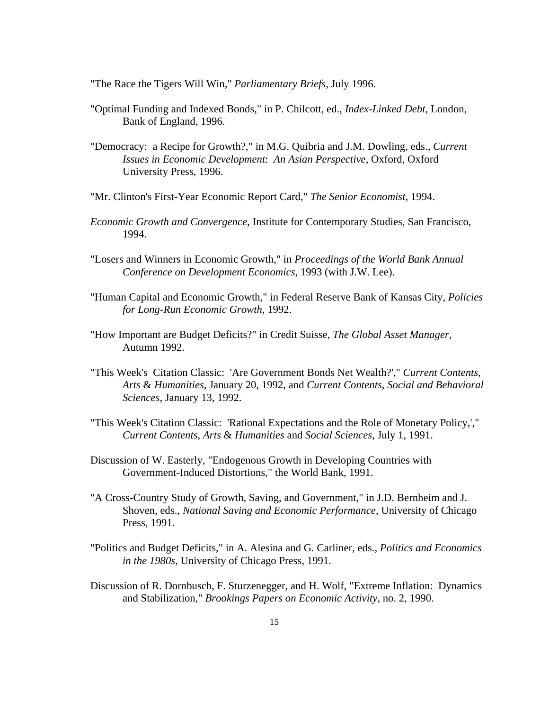"The Race the Tigers Will Win," *Parliamentary Briefs*, July 1996.

- "Optimal Funding and Indexed Bonds," in P. Chilcott, ed., *Index*-*Linked Debt*, London, Bank of England, 1996.
- "Democracy: a Recipe for Growth?," in M.G. Quibria and J.M. Dowling, eds., *Current Issues in Economic Development*: *An Asian Perspective*, Oxford, Oxford University Press, 1996.
- "Mr. Clinton's First-Year Economic Report Card," *The Senior Economist*, 1994.
- *Economic Growth and Convergence*, Institute for Contemporary Studies, San Francisco, 1994.
- "Losers and Winners in Economic Growth," in *Proceedings of the World Bank Annual Conference on Development Economics*, 1993 (with J.W. Lee).
- "Human Capital and Economic Growth," in Federal Reserve Bank of Kansas City, *Policies for Long*-*Run Economic Growth*, 1992.
- "How Important are Budget Deficits?" in Credit Suisse, *The Global Asset Manager*, Autumn 1992.
- "This Week's Citation Classic: 'Are Government Bonds Net Wealth?'," *Current Contents*, *Arts* & *Humanities*, January 20, 1992, and *Current Contents*, *Social and Behavioral Sciences*, January 13, 1992.
- "This Week's Citation Classic: 'Rational Expectations and the Role of Monetary Policy,'," *Current Contents*, *Arts* & *Humanities* and *Social Sciences*, July 1, 1991.
- Discussion of W. Easterly, "Endogenous Growth in Developing Countries with Government-Induced Distortions," the World Bank, 1991.
- "A Cross-Country Study of Growth, Saving, and Government," in J.D. Bernheim and J. Shoven, eds., *National Saving and Economic Performance*, University of Chicago Press, 1991.
- "Politics and Budget Deficits," in A. Alesina and G. Carliner, eds., *Politics and Economics in the 1980s*, University of Chicago Press, 1991.
- Discussion of R. Dornbusch, F. Sturzenegger, and H. Wolf, "Extreme Inflation: Dynamics and Stabilization," *Brookings Papers on Economic Activity*, no. 2, 1990.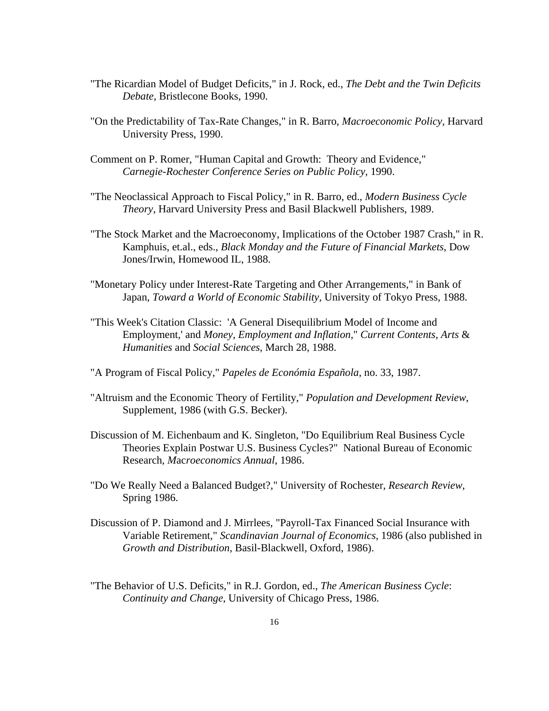- "The Ricardian Model of Budget Deficits," in J. Rock, ed., *The Debt and the Twin Deficits Debate*, Bristlecone Books, 1990.
- "On the Predictability of Tax-Rate Changes," in R. Barro, *Macroeconomic Policy*, Harvard University Press, 1990.
- Comment on P. Romer, "Human Capital and Growth: Theory and Evidence," *Carnegie*-*Rochester Conference Series on Public Policy*, 1990.
- "The Neoclassical Approach to Fiscal Policy," in R. Barro, ed., *Modern Business Cycle Theory*, Harvard University Press and Basil Blackwell Publishers, 1989.
- "The Stock Market and the Macroeconomy, Implications of the October 1987 Crash," in R. Kamphuis, et.al., eds., *Black Monday and the Future of Financial Markets*, Dow Jones/Irwin, Homewood IL, 1988.
- "Monetary Policy under Interest-Rate Targeting and Other Arrangements," in Bank of Japan, *Toward a World of Economic Stability*, University of Tokyo Press, 1988.
- "This Week's Citation Classic: 'A General Disequilibrium Model of Income and Employment,' and *Money*, *Employment and Inflation*," *Current Contents*, *Arts* & *Humanities* and *Social Sciences*, March 28, 1988.
- "A Program of Fiscal Policy," *Papeles de Económia Española*, no. 33, 1987.
- "Altruism and the Economic Theory of Fertility," *Population and Development Review*, Supplement, 1986 (with G.S. Becker).
- Discussion of M. Eichenbaum and K. Singleton, "Do Equilibrium Real Business Cycle Theories Explain Postwar U.S. Business Cycles?" National Bureau of Economic Research, *M*ac*roeconomics Annual*, 1986.
- "Do We Really Need a Balanced Budget?," University of Rochester, *Research Review*, Spring 1986.
- Discussion of P. Diamond and J. Mirrlees, "Payroll-Tax Financed Social Insurance with Variable Retirement," *Scandinavian Journal of Economics*, 1986 (also published in *Growth and Distribution*, Basil-Blackwell, Oxford, 1986).
- "The Behavior of U.S. Deficits," in R.J. Gordon, ed., *The American Business Cycle*: *Continuity and Change*, University of Chicago Press, 1986.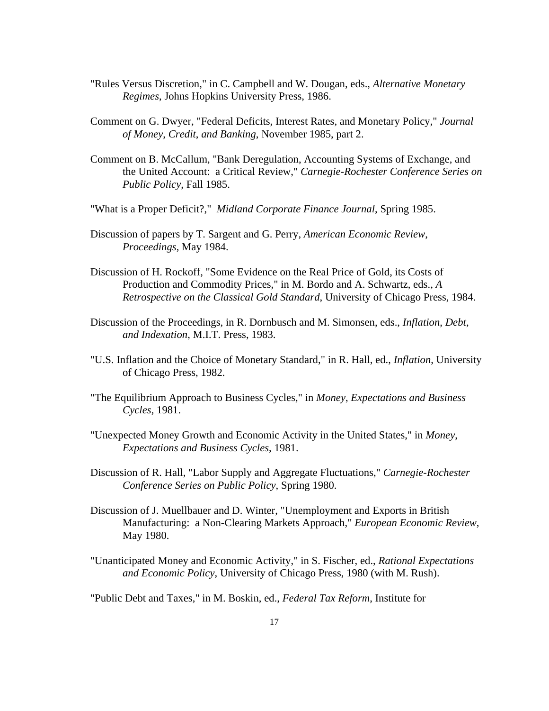- "Rules Versus Discretion," in C. Campbell and W. Dougan, eds., *Alternative Monetary Regimes*, Johns Hopkins University Press, 1986.
- Comment on G. Dwyer, "Federal Deficits, Interest Rates, and Monetary Policy," *Journal of Money*, *Credit*, *and Banking*, November 1985, part 2.
- Comment on B. McCallum, "Bank Deregulation, Accounting Systems of Exchange, and the United Account: a Critical Review," *Carnegie*-*Rochester Conference Series on Public Policy*, Fall 1985.
- "What is a Proper Deficit?," *Midland Corporate Finance Journal*, Spring 1985.
- Discussion of papers by T. Sargent and G. Perry, *American Economic Review*, *Proceedings*, May 1984.
- Discussion of H. Rockoff, "Some Evidence on the Real Price of Gold, its Costs of Production and Commodity Prices," in M. Bordo and A. Schwartz, eds., *A Retrospective on the Classical Gold Standard*, University of Chicago Press, 1984.
- Discussion of the Proceedings, in R. Dornbusch and M. Simonsen, eds., *Inflation*, *Debt*, *and Indexation*, M.I.T. Press, 1983.
- "U.S. Inflation and the Choice of Monetary Standard," in R. Hall, ed., *Inflation*, University of Chicago Press, 1982.
- "The Equilibrium Approach to Business Cycles," in *Money*, *Expectations and Business Cycles*, 1981.
- "Unexpected Money Growth and Economic Activity in the United States," in *Money*, *Expectations and Business Cycles*, 1981.
- Discussion of R. Hall, "Labor Supply and Aggregate Fluctuations," *Carnegie*-*Rochester Conference Series on Public Policy*, Spring 1980.
- Discussion of J. Muellbauer and D. Winter, "Unemployment and Exports in British Manufacturing: a Non-Clearing Markets Approach," *European Economic Review*, May 1980.
- "Unanticipated Money and Economic Activity," in S. Fischer, ed., *Rational Expectations and Economic Policy*, University of Chicago Press, 1980 (with M. Rush).

"Public Debt and Taxes," in M. Boskin, ed., *Federal Tax Reform*, Institute for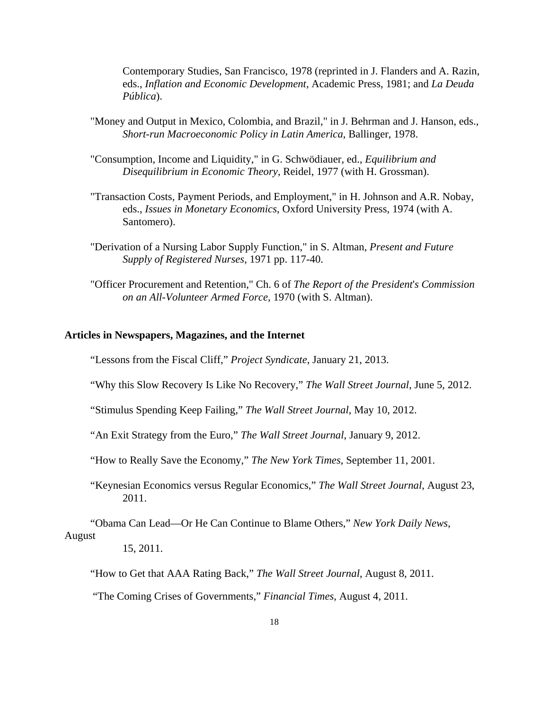Contemporary Studies, San Francisco, 1978 (reprinted in J. Flanders and A. Razin, eds., *Inflation and Economic Development*, Academic Press, 1981; and *La Deuda Pública*).

- "Money and Output in Mexico, Colombia, and Brazil," in J. Behrman and J. Hanson, eds., *Short*-*run Macroeconomic Policy in Latin America*, Ballinger, 1978.
- "Consumption, Income and Liquidity," in G. Schwödiauer, ed., *Equilibrium and Disequilibrium in Economic Theory*, Reidel, 1977 (with H. Grossman).
- "Transaction Costs, Payment Periods, and Employment," in H. Johnson and A.R. Nobay, eds., *Issues in Monetary Economics*, Oxford University Press, 1974 (with A. Santomero).
- "Derivation of a Nursing Labor Supply Function," in S. Altman, *Present and Future Supply of Registered Nurses*, 1971 pp. 117-40.
- "Officer Procurement and Retention," Ch. 6 of *The Report of the President*'*s Commission on an All*-*Volunteer Armed Force*, 1970 (with S. Altman).

# **Articles in Newspapers, Magazines, and the Internet**

"Lessons from the Fiscal Cliff," *Project Syndicate*, January 21, 2013.

"Why this Slow Recovery Is Like No Recovery," *The Wall Street Journal*, June 5, 2012.

"Stimulus Spending Keep Failing," *The Wall Street Journal*, May 10, 2012.

"An Exit Strategy from the Euro," *The Wall Street Journal*, January 9, 2012.

"How to Really Save the Economy," *The New York Times*, September 11, 2001.

 "Keynesian Economics versus Regular Economics," *The Wall Street Journal*, August 23, 2011.

"Obama Can Lead—Or He Can Continue to Blame Others," *New York Daily News*,

#### August

15, 2011.

"How to Get that AAA Rating Back," *The Wall Street Journal*, August 8, 2011.

"The Coming Crises of Governments," *Financial Times*, August 4, 2011.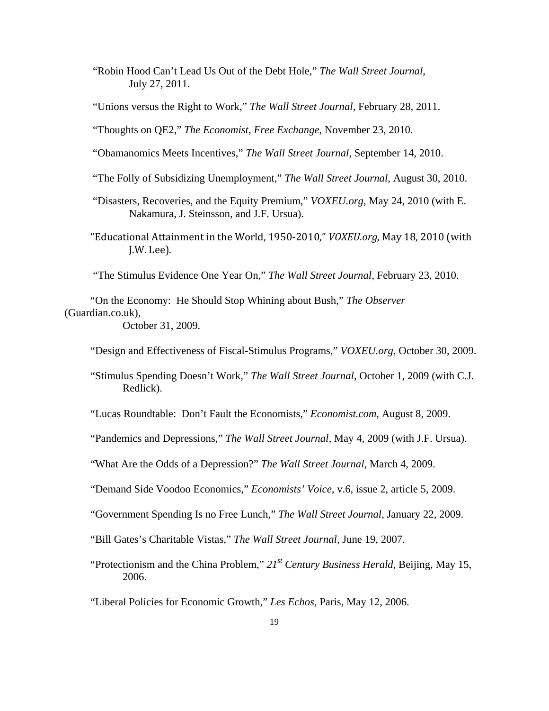"Robin Hood Can't Lead Us Out of the Debt Hole," *The Wall Street Journal*, July 27, 2011.

"Unions versus the Right to Work," *The Wall Street Journal*, February 28, 2011.

"Thoughts on QE2," *The Economist, Free Exchange*, November 23, 2010.

"Obamanomics Meets Incentives," *The Wall Street Journal*, September 14, 2010.

- "The Folly of Subsidizing Unemployment," *The Wall Street Journal*, August 30, 2010.
- "Disasters, Recoveries, and the Equity Premium," *VOXEU.org*, May 24, 2010 (with E. Nakamura, J. Steinsson, and J.F. Ursua).
- "Educational Attainment in the World, 1950-2010," *VOXEU.org*, May 18, 2010 (with J.W. Lee).

"The Stimulus Evidence One Year On," *The Wall Street Journal*, February 23, 2010.

"On the Economy: He Should Stop Whining about Bush," *The Observer* (Guardian.co.uk), October 31, 2009.

"Design and Effectiveness of Fiscal-Stimulus Programs," *VOXEU.org*, October 30, 2009.

"Stimulus Spending Doesn't Work," *The Wall Street Journal*, October 1, 2009 (with C.J. Redlick).

"Lucas Roundtable: Don't Fault the Economists," *Economist.com*, August 8, 2009.

"Pandemics and Depressions," *The Wall Street Journal*, May 4, 2009 (with J.F. Ursua).

"What Are the Odds of a Depression?" *The Wall Street Journal*, March 4, 2009.

"Demand Side Voodoo Economics," *Economists' Voice*, v.6, issue 2, article 5, 2009.

"Government Spending Is no Free Lunch," *The Wall Street Journal*, January 22, 2009.

"Bill Gates's Charitable Vistas," *The Wall Street Journal*, June 19, 2007.

"Protectionism and the China Problem," *21st Century Business Herald*, Beijing, May 15, 2006.

"Liberal Policies for Economic Growth," *Les Echos*, Paris, May 12, 2006.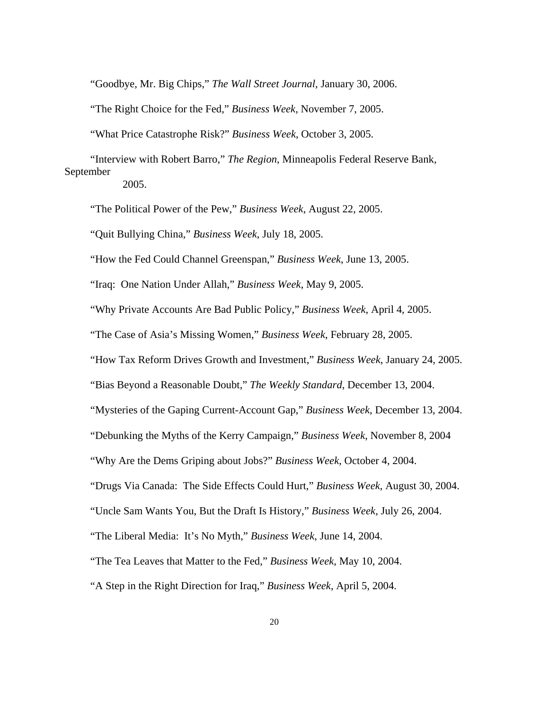"Goodbye, Mr. Big Chips," *The Wall Street Journal*, January 30, 2006.

"The Right Choice for the Fed," *Business Week*, November 7, 2005.

"What Price Catastrophe Risk?" *Business Week*, October 3, 2005.

 "Interview with Robert Barro," *The Region*, Minneapolis Federal Reserve Bank, September

2005.

"The Political Power of the Pew," *Business Week*, August 22, 2005.

"Quit Bullying China," *Business Week*, July 18, 2005.

"How the Fed Could Channel Greenspan," *Business Week*, June 13, 2005.

"Iraq: One Nation Under Allah," *Business Week*, May 9, 2005.

"Why Private Accounts Are Bad Public Policy," *Business Week*, April 4, 2005.

"The Case of Asia's Missing Women," *Business Week*, February 28, 2005.

"How Tax Reform Drives Growth and Investment," *Business Week*, January 24, 2005.

"Bias Beyond a Reasonable Doubt," *The Weekly Standard*, December 13, 2004.

"Mysteries of the Gaping Current-Account Gap," *Business Week*, December 13, 2004.

"Debunking the Myths of the Kerry Campaign," *Business Week*, November 8, 2004

"Why Are the Dems Griping about Jobs?" *Business Week*, October 4, 2004.

"Drugs Via Canada: The Side Effects Could Hurt," *Business Week*, August 30, 2004.

"Uncle Sam Wants You, But the Draft Is History," *Business Week*, July 26, 2004.

"The Liberal Media: It's No Myth," *Business Week*, June 14, 2004.

"The Tea Leaves that Matter to the Fed," *Business Week*, May 10, 2004.

"A Step in the Right Direction for Iraq," *Business Week*, April 5, 2004.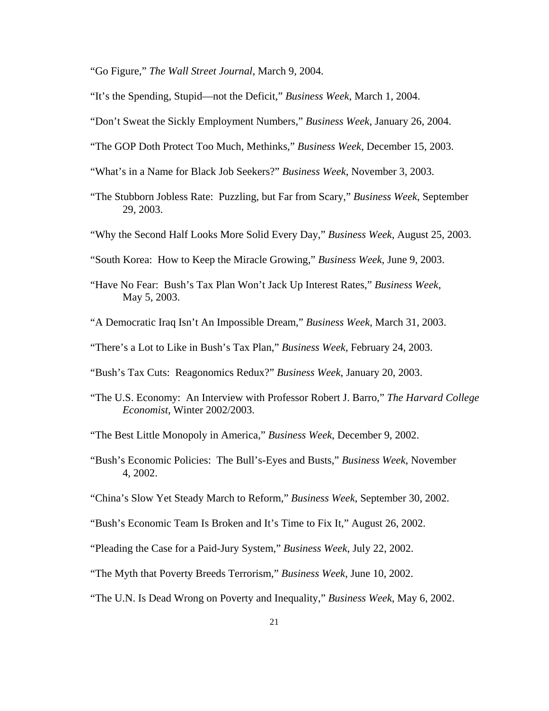"Go Figure," *The Wall Street Journal*, March 9, 2004.

"It's the Spending, Stupid—not the Deficit," *Business Week*, March 1, 2004.

- "Don't Sweat the Sickly Employment Numbers," *Business Week*, January 26, 2004.
- "The GOP Doth Protect Too Much, Methinks," *Business Week*, December 15, 2003.
- "What's in a Name for Black Job Seekers?" *Business Week*, November 3, 2003.
- "The Stubborn Jobless Rate: Puzzling, but Far from Scary," *Business Week*, September 29, 2003.
- "Why the Second Half Looks More Solid Every Day," *Business Week*, August 25, 2003.
- "South Korea: How to Keep the Miracle Growing," *Business Week*, June 9, 2003.
- "Have No Fear: Bush's Tax Plan Won't Jack Up Interest Rates," *Business Week*, May 5, 2003.
- "A Democratic Iraq Isn't An Impossible Dream," *Business Week*, March 31, 2003.
- "There's a Lot to Like in Bush's Tax Plan," *Business Week*, February 24, 2003.
- "Bush's Tax Cuts: Reagonomics Redux?" *Business Week*, January 20, 2003.
- "The U.S. Economy: An Interview with Professor Robert J. Barro," *The Harvard College Economist*, Winter 2002/2003.
- "The Best Little Monopoly in America," *Business Week*, December 9, 2002.
- "Bush's Economic Policies: The Bull's-Eyes and Busts," *Business Week*, November 4, 2002.
- "China's Slow Yet Steady March to Reform," *Business Week*, September 30, 2002.
- "Bush's Economic Team Is Broken and It's Time to Fix It," August 26, 2002.
- "Pleading the Case for a Paid-Jury System," *Business Week*, July 22, 2002.
- "The Myth that Poverty Breeds Terrorism," *Business Week*, June 10, 2002.
- "The U.N. Is Dead Wrong on Poverty and Inequality," *Business Week*, May 6, 2002.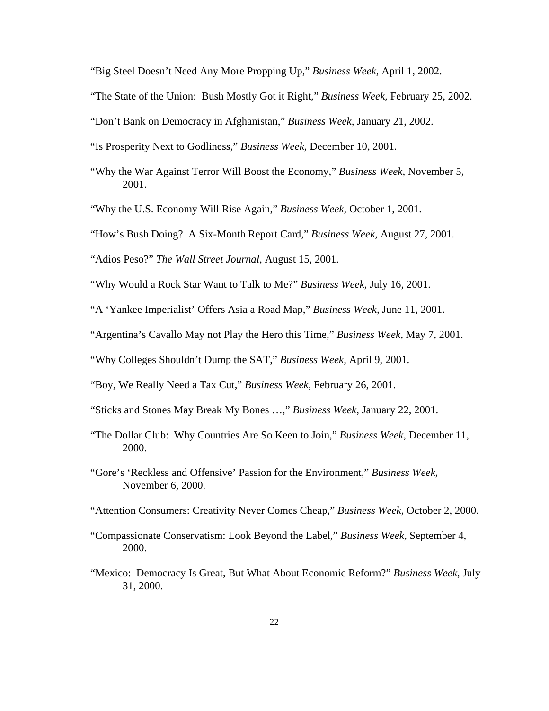"Big Steel Doesn't Need Any More Propping Up," *Business Week,* April 1, 2002.

"The State of the Union: Bush Mostly Got it Right," *Business Week,* February 25, 2002.

"Don't Bank on Democracy in Afghanistan," *Business Week,* January 21, 2002.

"Is Prosperity Next to Godliness," *Business Week,* December 10, 2001.

- "Why the War Against Terror Will Boost the Economy," *Business Week,* November 5, 2001.
- "Why the U.S. Economy Will Rise Again," *Business Week,* October 1, 2001.

"How's Bush Doing? A Six-Month Report Card," *Business Week,* August 27, 2001.

"Adios Peso?" *The Wall Street Journal*, August 15, 2001.

"Why Would a Rock Star Want to Talk to Me?" *Business Week,* July 16, 2001.

- "A 'Yankee Imperialist' Offers Asia a Road Map," *Business Week,* June 11, 2001.
- "Argentina's Cavallo May not Play the Hero this Time," *Business Week,* May 7, 2001.

"Why Colleges Shouldn't Dump the SAT," *Business Week,* April 9, 2001.

- "Boy, We Really Need a Tax Cut," *Business Week,* February 26, 2001.
- "Sticks and Stones May Break My Bones …," *Business Week,* January 22, 2001.
- "The Dollar Club: Why Countries Are So Keen to Join," *Business Week,* December 11, 2000.
- "Gore's 'Reckless and Offensive' Passion for the Environment," *Business Week,* November 6, 2000.
- "Attention Consumers: Creativity Never Comes Cheap," *Business Week*, October 2, 2000.
- "Compassionate Conservatism: Look Beyond the Label," *Business Week*, September 4, 2000.
- "Mexico: Democracy Is Great, But What About Economic Reform?" *Business Week*, July 31, 2000.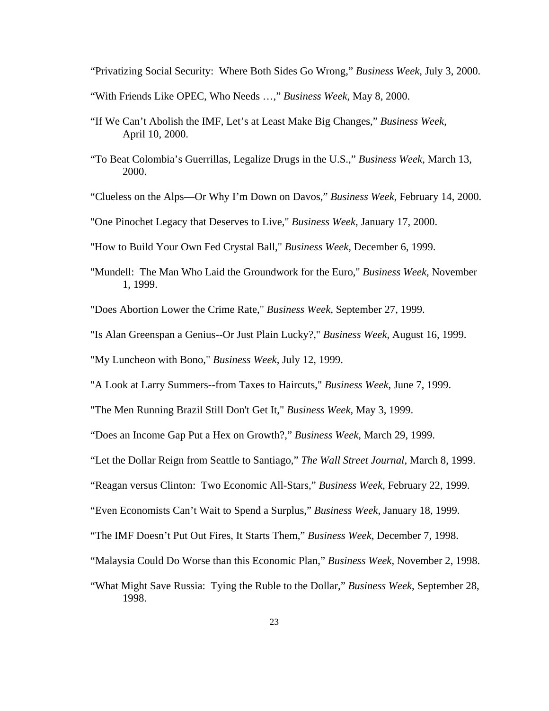"Privatizing Social Security: Where Both Sides Go Wrong," *Business Week*, July 3, 2000.

"With Friends Like OPEC, Who Needs …," *Business Week*, May 8, 2000.

- "If We Can't Abolish the IMF, Let's at Least Make Big Changes," *Business Week*, April 10, 2000.
- "To Beat Colombia's Guerrillas, Legalize Drugs in the U.S.," *Business Week*, March 13, 2000.
- "Clueless on the Alps—Or Why I'm Down on Davos," *Business Week*, February 14, 2000.
- "One Pinochet Legacy that Deserves to Live," *Business Week*, January 17, 2000.
- "How to Build Your Own Fed Crystal Ball," *Business Week*, December 6, 1999.
- "Mundell: The Man Who Laid the Groundwork for the Euro," *Business Week*, November 1, 1999.
- "Does Abortion Lower the Crime Rate," *Business Week*, September 27, 1999.
- "Is Alan Greenspan a Genius--Or Just Plain Lucky?," *Business Week*, August 16, 1999.

"My Luncheon with Bono," *Business Week*, July 12, 1999.

"A Look at Larry Summers--from Taxes to Haircuts," *Business Week*, June 7, 1999.

"The Men Running Brazil Still Don't Get It," *Business Week*, May 3, 1999.

"Does an Income Gap Put a Hex on Growth?," *Business Week*, March 29, 1999.

"Let the Dollar Reign from Seattle to Santiago," *The Wall Street Journal*, March 8, 1999.

"Reagan versus Clinton: Two Economic All-Stars," *Business Week*, February 22, 1999.

"Even Economists Can't Wait to Spend a Surplus," *Business Week*, January 18, 1999.

"The IMF Doesn't Put Out Fires, It Starts Them," *Business Week*, December 7, 1998.

"Malaysia Could Do Worse than this Economic Plan," *Business Week,* November 2, 1998.

 "What Might Save Russia: Tying the Ruble to the Dollar," *Business Week*, September 28, 1998.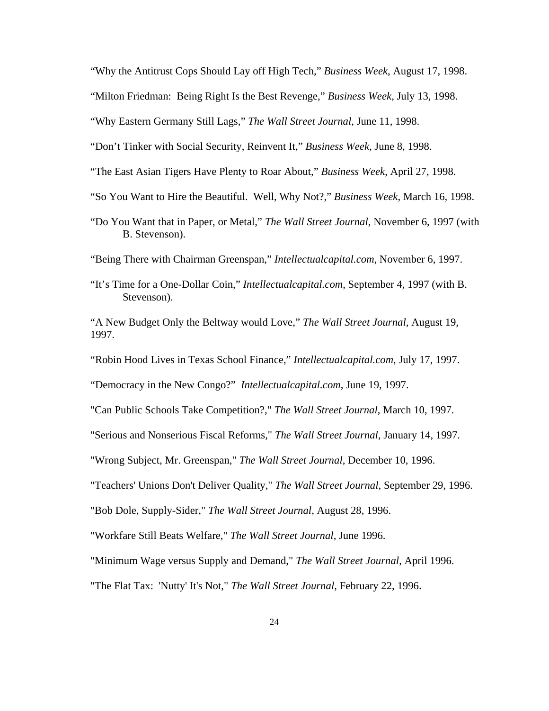"Why the Antitrust Cops Should Lay off High Tech," *Business Week*, August 17, 1998.

"Milton Friedman: Being Right Is the Best Revenge," *Business Week*, July 13, 1998.

"Why Eastern Germany Still Lags," *The Wall Street Journal*, June 11, 1998.

"Don't Tinker with Social Security, Reinvent It," *Business Week*, June 8, 1998.

"The East Asian Tigers Have Plenty to Roar About," *Business Week*, April 27, 1998.

"So You Want to Hire the Beautiful. Well, Why Not?," *Business Week*, March 16, 1998.

 "Do You Want that in Paper, or Metal," *The Wall Street Journal*, November 6, 1997 (with B. Stevenson).

"Being There with Chairman Greenspan," *Intellectualcapital.com*, November 6, 1997.

- "It's Time for a One-Dollar Coin," *Intellectualcapital.com*, September 4, 1997 (with B. Stevenson).
- "A New Budget Only the Beltway would Love," *The Wall Street Journal*, August 19, 1997.

"Robin Hood Lives in Texas School Finance," *Intellectualcapital.com*, July 17, 1997.

"Democracy in the New Congo?" *Intellectualcapital.com*, June 19, 1997.

"Can Public Schools Take Competition?," *The Wall Street Journal*, March 10, 1997.

"Serious and Nonserious Fiscal Reforms," *The Wall Street Journal*, January 14, 1997.

"Wrong Subject, Mr. Greenspan," *The Wall Street Journal*, December 10, 1996.

"Teachers' Unions Don't Deliver Quality," *The Wall Street Journal*, September 29, 1996.

"Bob Dole, Supply-Sider," *The Wall Street Journal*, August 28, 1996.

"Workfare Still Beats Welfare," *The Wall Street Journal*, June 1996.

"Minimum Wage versus Supply and Demand," *The Wall Street Journal*, April 1996.

"The Flat Tax: 'Nutty' It's Not," *The Wall Street Journal*, February 22, 1996.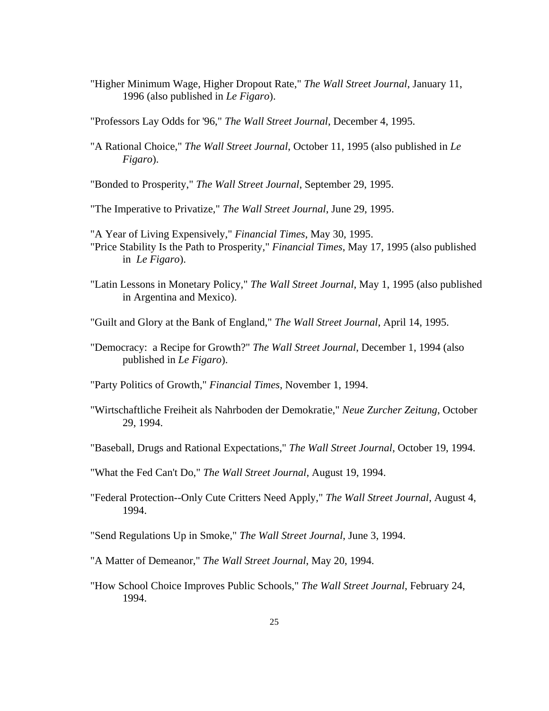"Higher Minimum Wage, Higher Dropout Rate," *The Wall Street Journal*, January 11, 1996 (also published in *Le Figaro*).

"Professors Lay Odds for '96," *The Wall Street Journal*, December 4, 1995.

"A Rational Choice," *The Wall Street Journal*, October 11, 1995 (also published in *Le Figaro*).

"Bonded to Prosperity," *The Wall Street Journal*, September 29, 1995.

"The Imperative to Privatize," *The Wall Street Journal*, June 29, 1995.

- "A Year of Living Expensively," *Financial Times*, May 30, 1995. "Price Stability Is the Path to Prosperity," *Financial Times*, May 17, 1995 (also published in *Le Figaro*).
- "Latin Lessons in Monetary Policy," *The Wall Street Journal*, May 1, 1995 (also published in Argentina and Mexico).
- "Guilt and Glory at the Bank of England," *The Wall Street Journal*, April 14, 1995.
- "Democracy: a Recipe for Growth?" *The Wall Street Journal*, December 1, 1994 (also published in *Le Figaro*).

"Party Politics of Growth," *Financial Times*, November 1, 1994.

- "Wirtschaftliche Freiheit als Nahrboden der Demokratie," *Neue Zurcher Zeitung*, October 29, 1994.
- "Baseball, Drugs and Rational Expectations," *The Wall Street Journal*, October 19, 1994.
- "What the Fed Can't Do," *The Wall Street Journal*, August 19, 1994.
- "Federal Protection--Only Cute Critters Need Apply," *The Wall Street Journal*, August 4, 1994.
- "Send Regulations Up in Smoke," *The Wall Street Journal*, June 3, 1994.
- "A Matter of Demeanor," *The Wall Street Journal*, May 20, 1994.
- "How School Choice Improves Public Schools," *The Wall Street Journal*, February 24, 1994.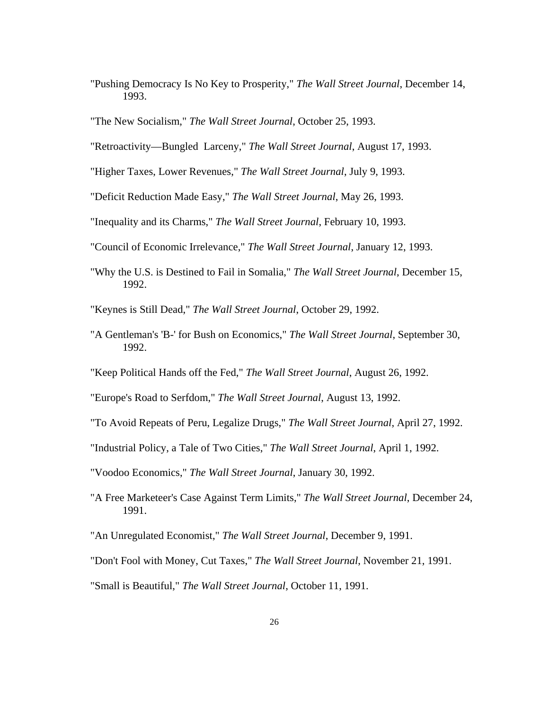"Pushing Democracy Is No Key to Prosperity," *The Wall Street Journal*, December 14, 1993.

"The New Socialism," *The Wall Street Journal*, October 25, 1993.

"Retroactivity—Bungled Larceny," *The Wall Street Journal*, August 17, 1993.

"Higher Taxes, Lower Revenues," *The Wall Street Journal*, July 9, 1993.

"Deficit Reduction Made Easy," *The Wall Street Journal*, May 26, 1993.

"Inequality and its Charms," *The Wall Street Journal*, February 10, 1993.

- "Council of Economic Irrelevance," *The Wall Street Journal*, January 12, 1993.
- "Why the U.S. is Destined to Fail in Somalia," *The Wall Street Journal*, December 15, 1992.

"Keynes is Still Dead," *The Wall Street Journal*, October 29, 1992.

- "A Gentleman's 'B-' for Bush on Economics," *The Wall Street Journal*, September 30, 1992.
- "Keep Political Hands off the Fed," *The Wall Street Journal*, August 26, 1992.

"Europe's Road to Serfdom," *The Wall Street Journal*, August 13, 1992.

- "To Avoid Repeats of Peru, Legalize Drugs," *The Wall Street Journal*, April 27, 1992.
- "Industrial Policy, a Tale of Two Cities," *The Wall Street Journal*, April 1, 1992.
- "Voodoo Economics," *The Wall Street Journal*, January 30, 1992.
- "A Free Marketeer's Case Against Term Limits," *The Wall Street Journal*, December 24, 1991.
- "An Unregulated Economist," *The Wall Street Journal*, December 9, 1991.
- "Don't Fool with Money, Cut Taxes," *The Wall Street Journal*, November 21, 1991.
- "Small is Beautiful," *The Wall Street Journal*, October 11, 1991.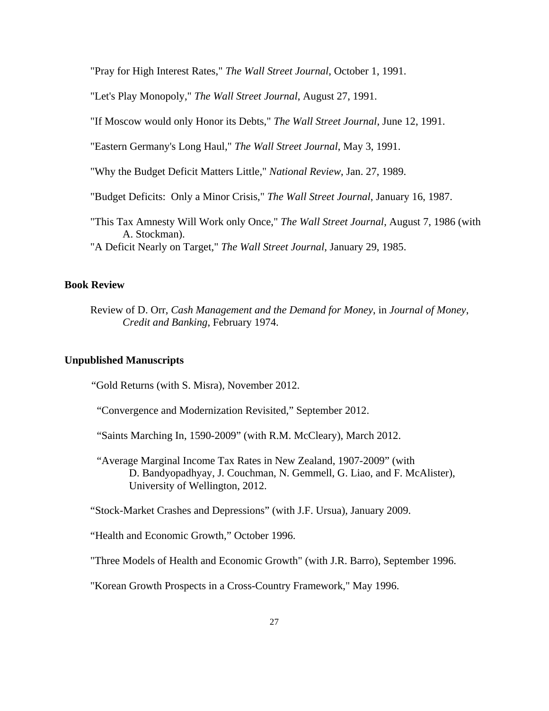"Pray for High Interest Rates," *The Wall Street Journal*, October 1, 1991.

"Let's Play Monopoly," *The Wall Street Journal*, August 27, 1991.

"If Moscow would only Honor its Debts," *The Wall Street Journal*, June 12, 1991.

"Eastern Germany's Long Haul," *The Wall Street Journal*, May 3, 1991.

"Why the Budget Deficit Matters Little," *National Review*, Jan. 27, 1989.

"Budget Deficits: Only a Minor Crisis," *The Wall Street Journal*, January 16, 1987.

"This Tax Amnesty Will Work only Once," *The Wall Street Journal*, August 7, 1986 (with A. Stockman).

"A Deficit Nearly on Target," *The Wall Street Journal*, January 29, 1985.

## **Book Review**

Review of D. Orr, *Cash Management and the Demand for Money*, in *Journal of Money*, *Credit and Banking*, February 1974.

# **Unpublished Manuscripts**

"Gold Returns (with S. Misra), November 2012.

"Convergence and Modernization Revisited," September 2012.

"Saints Marching In, 1590-2009" (with R.M. McCleary), March 2012.

 "Average Marginal Income Tax Rates in New Zealand, 1907-2009" (with D. Bandyopadhyay, J. Couchman, N. Gemmell, G. Liao, and F. McAlister), University of Wellington, 2012.

"Stock-Market Crashes and Depressions" (with J.F. Ursua), January 2009.

"Health and Economic Growth," October 1996.

"Three Models of Health and Economic Growth" (with J.R. Barro), September 1996.

"Korean Growth Prospects in a Cross-Country Framework," May 1996.